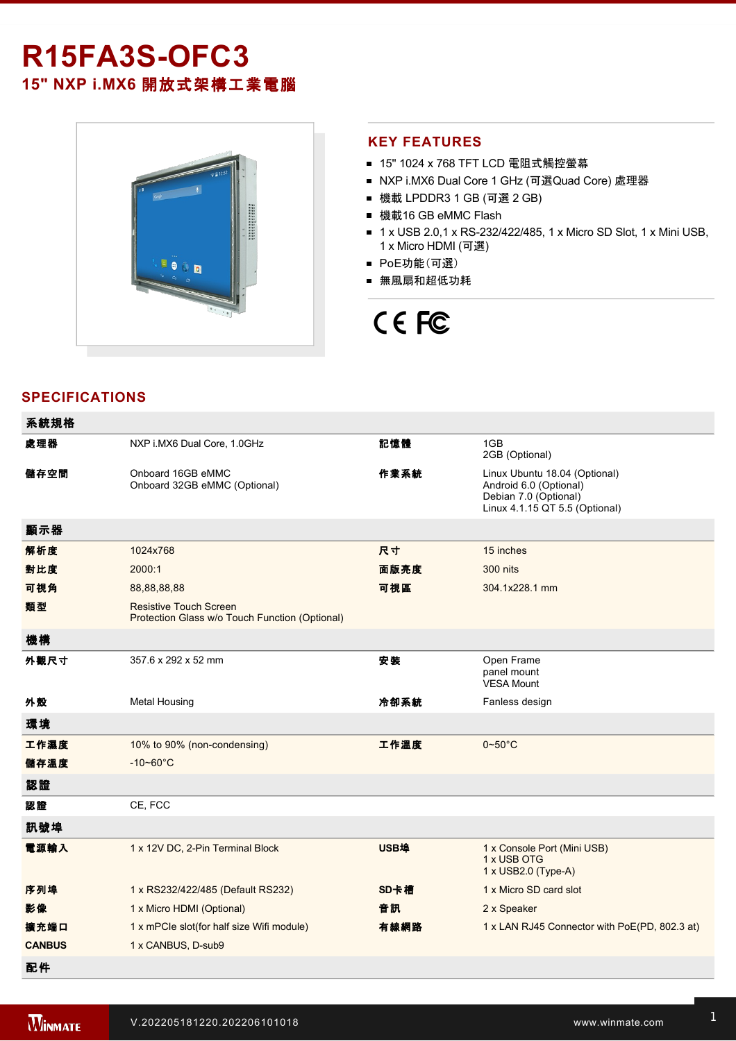# **R15FA3S-OFC3 15" NXP i.MX6** 開放式架構工業電腦



## **KEY FEATURES**

- 15" 1024 x 768 TFT LCD 電阻式觸控螢幕
- NXP i.MX6 Dual Core 1 GHz (可選Quad Core) 處理器
- 機載 LPDDR3 1 GB (可選 2 GB)
- 機載16 GB eMMC Flash
- 1 x USB 2.0,1 x RS-232/422/485, 1 x Micro SD Slot, 1 x Mini USB, 1 x Micro HDMI (可選)
- PoE功能(可選)
- 無風扇和超低功耗

# CE FC

# **SPECIFICATIONS**

| 系統規格          |                                                                                 |      |                                                                                                                    |
|---------------|---------------------------------------------------------------------------------|------|--------------------------------------------------------------------------------------------------------------------|
| 處理器           | NXP i.MX6 Dual Core, 1.0GHz                                                     | 記憶體  | 1GB<br>2GB (Optional)                                                                                              |
| 儲存空間          | Onboard 16GB eMMC<br>Onboard 32GB eMMC (Optional)                               | 作業系統 | Linux Ubuntu 18.04 (Optional)<br>Android 6.0 (Optional)<br>Debian 7.0 (Optional)<br>Linux 4.1.15 QT 5.5 (Optional) |
| 顯示器           |                                                                                 |      |                                                                                                                    |
| 解析度           | 1024x768                                                                        | 尺寸   | 15 inches                                                                                                          |
| 對比度           | 2000:1                                                                          | 面版亮度 | 300 nits                                                                                                           |
| 可視角           | 88,88,88,88                                                                     | 可視區  | 304.1x228.1 mm                                                                                                     |
| 類型            | <b>Resistive Touch Screen</b><br>Protection Glass w/o Touch Function (Optional) |      |                                                                                                                    |
| 機構            |                                                                                 |      |                                                                                                                    |
| 外觀尺寸          | 357.6 x 292 x 52 mm                                                             | 安装   | Open Frame<br>panel mount<br><b>VESA Mount</b>                                                                     |
| 外殼            | <b>Metal Housing</b>                                                            | 冷卻系統 | Fanless design                                                                                                     |
| 環境            |                                                                                 |      |                                                                                                                    |
| 工作濕度          | 10% to 90% (non-condensing)                                                     | 工作溫度 | $0\neg 50^\circ C$                                                                                                 |
| 儲存溫度          | $-10 - 60^{\circ}$ C                                                            |      |                                                                                                                    |
| 認證            |                                                                                 |      |                                                                                                                    |
| 認證            | CE, FCC                                                                         |      |                                                                                                                    |
| 訊號埠           |                                                                                 |      |                                                                                                                    |
| 電源輸入          | 1 x 12V DC, 2-Pin Terminal Block                                                | USB埠 | 1 x Console Port (Mini USB)<br>1 x USB OTG<br>1 x USB2.0 (Type-A)                                                  |
| 序列埠           | 1 x RS232/422/485 (Default RS232)                                               | SD卡槽 | 1 x Micro SD card slot                                                                                             |
| 影像            | 1 x Micro HDMI (Optional)                                                       | 音訊   | 2 x Speaker                                                                                                        |
| 擴充端口          | 1 x mPCle slot(for half size Wifi module)                                       | 有線網路 | 1 x LAN RJ45 Connector with PoE(PD, 802.3 at)                                                                      |
| <b>CANBUS</b> | 1 x CANBUS, D-sub9                                                              |      |                                                                                                                    |
| 配件            |                                                                                 |      |                                                                                                                    |

電源

Power Cord